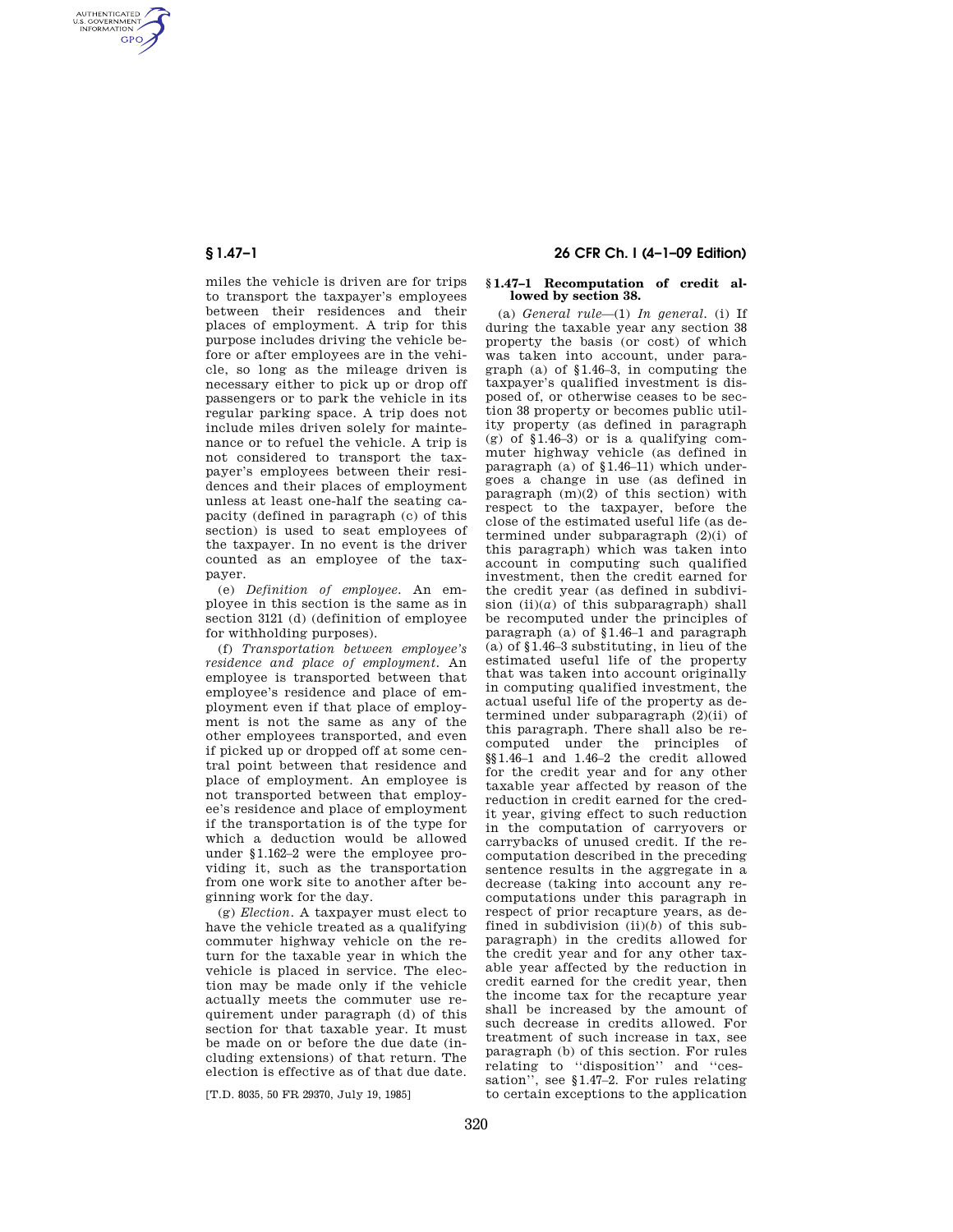AUTHENTICATED<br>U.S. GOVERNMENT<br>INFORMATION **GPO** 

> miles the vehicle is driven are for trips to transport the taxpayer's employees between their residences and their places of employment. A trip for this purpose includes driving the vehicle before or after employees are in the vehicle, so long as the mileage driven is necessary either to pick up or drop off passengers or to park the vehicle in its regular parking space. A trip does not include miles driven solely for maintenance or to refuel the vehicle. A trip is not considered to transport the taxpayer's employees between their residences and their places of employment unless at least one-half the seating capacity (defined in paragraph (c) of this section) is used to seat employees of the taxpayer. In no event is the driver counted as an employee of the taxpayer.

> (e) *Definition of employee.* An employee in this section is the same as in section 3121 (d) (definition of employee for withholding purposes).

(f) *Transportation between employee's residence and place of employment.* An employee is transported between that employee's residence and place of employment even if that place of employment is not the same as any of the other employees transported, and even if picked up or dropped off at some central point between that residence and place of employment. An employee is not transported between that employee's residence and place of employment if the transportation is of the type for which a deduction would be allowed under §1.162–2 were the employee providing it, such as the transportation from one work site to another after beginning work for the day.

(g) *Election.* A taxpayer must elect to have the vehicle treated as a qualifying commuter highway vehicle on the return for the taxable year in which the vehicle is placed in service. The election may be made only if the vehicle actually meets the commuter use requirement under paragraph (d) of this section for that taxable year. It must be made on or before the due date (including extensions) of that return. The election is effective as of that due date.

[T.D. 8035, 50 FR 29370, July 19, 1985]

## **§ 1.47–1 26 CFR Ch. I (4–1–09 Edition)**

### **§ 1.47–1 Recomputation of credit allowed by section 38.**

(a) *General rule*—(1) *In general.* (i) If during the taxable year any section 38 property the basis (or cost) of which was taken into account, under paragraph (a) of §1.46–3, in computing the taxpayer's qualified investment is disposed of, or otherwise ceases to be section 38 property or becomes public utility property (as defined in paragraph (g) of  $$1.46-3$ ) or is a qualifying commuter highway vehicle (as defined in paragraph (a) of  $$1.46-11$ ) which undergoes a change in use (as defined in paragraph (m)(2) of this section) with respect to the taxpayer, before the close of the estimated useful life (as determined under subparagraph (2)(i) of this paragraph) which was taken into account in computing such qualified investment, then the credit earned for the credit year (as defined in subdivision  $(ii)(a)$  of this subparagraph) shall be recomputed under the principles of paragraph (a) of §1.46–1 and paragraph (a) of §1.46–3 substituting, in lieu of the estimated useful life of the property that was taken into account originally in computing qualified investment, the actual useful life of the property as determined under subparagraph  $(2)(ii)$  of this paragraph. There shall also be recomputed under the principles of §§1.46–1 and 1.46–2 the credit allowed for the credit year and for any other taxable year affected by reason of the reduction in credit earned for the credit year, giving effect to such reduction in the computation of carryovers or carrybacks of unused credit. If the recomputation described in the preceding sentence results in the aggregate in a decrease (taking into account any recomputations under this paragraph in respect of prior recapture years, as defined in subdivision (ii)(*b*) of this subparagraph) in the credits allowed for the credit year and for any other taxable year affected by the reduction in credit earned for the credit year, then the income tax for the recapture year shall be increased by the amount of such decrease in credits allowed. For treatment of such increase in tax, see paragraph (b) of this section. For rules relating to ''disposition'' and ''cessation'', see §1.47–2. For rules relating to certain exceptions to the application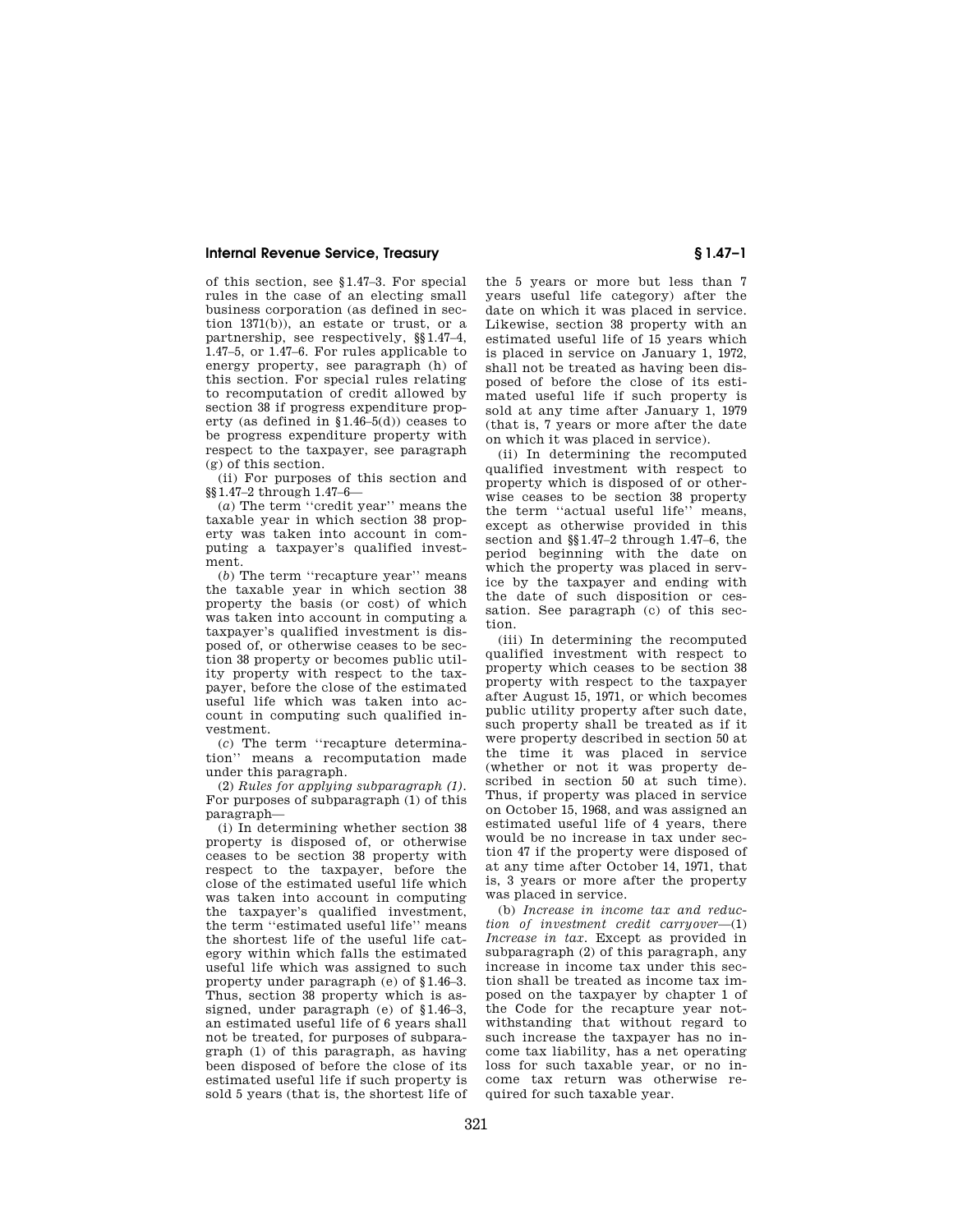of this section, see §1.47–3. For special rules in the case of an electing small business corporation (as defined in section 1371(b)), an estate or trust, or a partnership, see respectively, §§1.47–4, 1.47–5, or 1.47–6. For rules applicable to energy property, see paragraph (h) of this section. For special rules relating to recomputation of credit allowed by section 38 if progress expenditure property (as defined in §1.46–5(d)) ceases to be progress expenditure property with respect to the taxpayer, see paragraph (g) of this section.

(ii) For purposes of this section and §§1.47–2 through 1.47–6—

(*a*) The term ''credit year'' means the taxable year in which section 38 property was taken into account in computing a taxpayer's qualified investment.

(*b*) The term ''recapture year'' means the taxable year in which section 38 property the basis (or cost) of which was taken into account in computing a taxpayer's qualified investment is disposed of, or otherwise ceases to be section 38 property or becomes public utility property with respect to the taxpayer, before the close of the estimated useful life which was taken into account in computing such qualified investment.

(*c*) The term ''recapture determination'' means a recomputation made under this paragraph.

(2) *Rules for applying subparagraph (1).*  For purposes of subparagraph (1) of this paragraph—

(i) In determining whether section 38 property is disposed of, or otherwise ceases to be section 38 property with respect to the taxpayer, before the close of the estimated useful life which was taken into account in computing the taxpayer's qualified investment, the term ''estimated useful life'' means the shortest life of the useful life category within which falls the estimated useful life which was assigned to such property under paragraph (e) of §1.46–3. Thus, section 38 property which is assigned, under paragraph (e) of §1.46–3, an estimated useful life of 6 years shall not be treated, for purposes of subparagraph (1) of this paragraph, as having been disposed of before the close of its estimated useful life if such property is sold 5 years (that is, the shortest life of the 5 years or more but less than 7 years useful life category) after the date on which it was placed in service. Likewise, section 38 property with an estimated useful life of 15 years which is placed in service on January 1, 1972, shall not be treated as having been disposed of before the close of its estimated useful life if such property is sold at any time after January 1, 1979 (that is, 7 years or more after the date on which it was placed in service).

(ii) In determining the recomputed qualified investment with respect to property which is disposed of or otherwise ceases to be section 38 property the term ''actual useful life'' means, except as otherwise provided in this section and §§1.47–2 through 1.47–6, the period beginning with the date on which the property was placed in service by the taxpayer and ending with the date of such disposition or cessation. See paragraph (c) of this section.

(iii) In determining the recomputed qualified investment with respect to property which ceases to be section 38 property with respect to the taxpayer after August 15, 1971, or which becomes public utility property after such date, such property shall be treated as if it were property described in section 50 at the time it was placed in service (whether or not it was property described in section 50 at such time). Thus, if property was placed in service on October 15, 1968, and was assigned an estimated useful life of 4 years, there would be no increase in tax under section 47 if the property were disposed of at any time after October 14, 1971, that is, 3 years or more after the property was placed in service.

(b) *Increase in income tax and reduction of investment credit carryover*—(1) *Increase in tax.* Except as provided in subparagraph (2) of this paragraph, any increase in income tax under this section shall be treated as income tax imposed on the taxpayer by chapter 1 of the Code for the recapture year notwithstanding that without regard to such increase the taxpayer has no income tax liability, has a net operating loss for such taxable year, or no income tax return was otherwise required for such taxable year.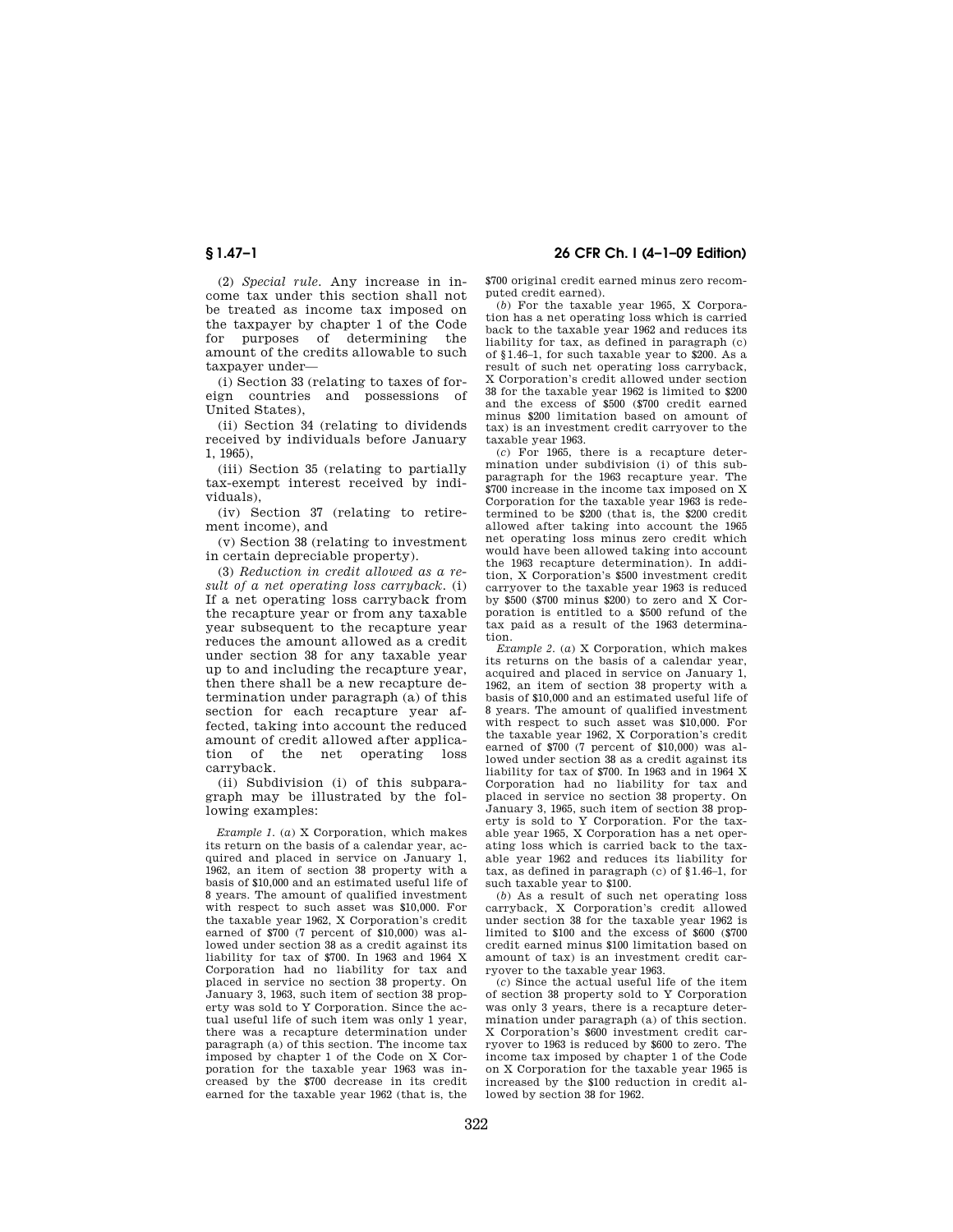(2) *Special rule.* Any increase in income tax under this section shall not be treated as income tax imposed on the taxpayer by chapter 1 of the Code for purposes of determining the amount of the credits allowable to such taxpayer under—

(i) Section 33 (relating to taxes of foreign countries and possessions of United States),

(ii) Section 34 (relating to dividends received by individuals before January 1, 1965),

(iii) Section 35 (relating to partially tax-exempt interest received by individuals),

(iv) Section 37 (relating to retirement income), and

(v) Section 38 (relating to investment in certain depreciable property).

(3) *Reduction in credit allowed as a result of a net operating loss carryback.* (i) If a net operating loss carryback from the recapture year or from any taxable year subsequent to the recapture year reduces the amount allowed as a credit under section 38 for any taxable year up to and including the recapture year, then there shall be a new recapture determination under paragraph (a) of this section for each recapture year affected, taking into account the reduced amount of credit allowed after application of the net operating loss carryback.

(ii) Subdivision (i) of this subparagraph may be illustrated by the following examples:

*Example 1.* (*a*) X Corporation, which makes its return on the basis of a calendar year, acquired and placed in service on January 1, 1962, an item of section 38 property with a basis of \$10,000 and an estimated useful life of 8 years. The amount of qualified investment with respect to such asset was \$10,000. For the taxable year 1962, X Corporation's credit earned of \$700 (7 percent of \$10,000) was allowed under section 38 as a credit against its liability for tax of \$700. In 1963 and 1964 X Corporation had no liability for tax and placed in service no section 38 property. On January 3, 1963, such item of section 38 property was sold to Y Corporation. Since the actual useful life of such item was only 1 year, there was a recapture determination under paragraph (a) of this section. The income tax imposed by chapter 1 of the Code on X Corporation for the taxable year 1963 was increased by the \$700 decrease in its credit earned for the taxable year 1962 (that is, the

**§ 1.47–1 26 CFR Ch. I (4–1–09 Edition)** 

\$700 original credit earned minus zero recomputed credit earned).

(*b*) For the taxable year 1965, X Corporation has a net operating loss which is carried back to the taxable year 1962 and reduces its liability for tax, as defined in paragraph (c) of §1.46–1, for such taxable year to \$200. As a result of such net operating loss carryback, X Corporation's credit allowed under section 38 for the taxable year 1962 is limited to \$200 and the excess of \$500 (\$700 credit earned minus \$200 limitation based on amount of tax) is an investment credit carryover to the taxable year 1963.

(*c*) For 1965, there is a recapture determination under subdivision (i) of this subparagraph for the 1963 recapture year. The \$700 increase in the income tax imposed on X Corporation for the taxable year 1963 is redetermined to be \$200 (that is, the \$200 credit allowed after taking into account the 1965 net operating loss minus zero credit which would have been allowed taking into account the 1963 recapture determination). In addition, X Corporation's \$500 investment credit carryover to the taxable year 1963 is reduced by \$500 (\$700 minus \$200) to zero and X Corporation is entitled to a \$500 refund of the tax paid as a result of the 1963 determination.

*Example 2.* (*a*) X Corporation, which makes its returns on the basis of a calendar year, acquired and placed in service on January 1, 1962, an item of section 38 property with a basis of \$10,000 and an estimated useful life of 8 years. The amount of qualified investment with respect to such asset was \$10,000. For the taxable year 1962, X Corporation's credit earned of \$700 (7 percent of \$10,000) was allowed under section 38 as a credit against its liability for tax of \$700. In 1963 and in 1964 X Corporation had no liability for tax and placed in service no section 38 property. On January 3, 1965, such item of section 38 property is sold to Y Corporation. For the taxable year 1965, X Corporation has a net operating loss which is carried back to the taxable year 1962 and reduces its liability for tax, as defined in paragraph (c) of §1.46–1, for such taxable year to \$100.

(*b*) As a result of such net operating loss carryback, X Corporation's credit allowed under section 38 for the taxable year 1962 is limited to \$100 and the excess of \$600 (\$700 credit earned minus \$100 limitation based on amount of tax) is an investment credit carryover to the taxable year 1963.

(*c*) Since the actual useful life of the item of section 38 property sold to Y Corporation was only 3 years, there is a recapture determination under paragraph (a) of this section. X Corporation's \$600 investment credit carryover to 1963 is reduced by \$600 to zero. The income tax imposed by chapter 1 of the Code on X Corporation for the taxable year 1965 is increased by the \$100 reduction in credit allowed by section 38 for 1962.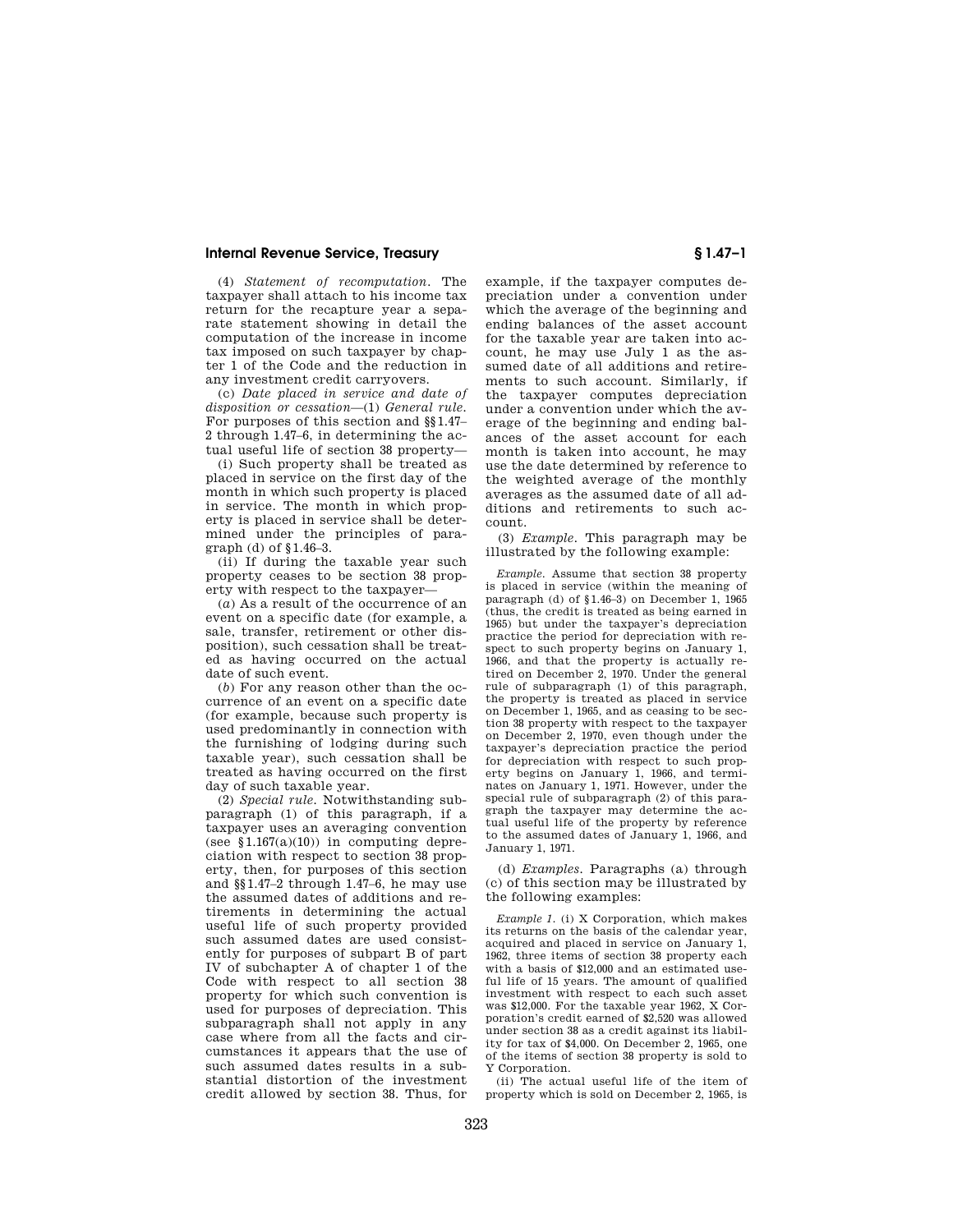(4) *Statement of recomputation.* The taxpayer shall attach to his income tax return for the recapture year a separate statement showing in detail the computation of the increase in income tax imposed on such taxpayer by chapter 1 of the Code and the reduction in any investment credit carryovers.

(c) *Date placed in service and date of disposition or cessation*—(1) *General rule.*  For purposes of this section and §§1.47– 2 through 1.47–6, in determining the actual useful life of section 38 property—

(i) Such property shall be treated as placed in service on the first day of the month in which such property is placed in service. The month in which property is placed in service shall be determined under the principles of paragraph (d) of §1.46–3.

(ii) If during the taxable year such property ceases to be section 38 property with respect to the taxpayer—

(*a*) As a result of the occurrence of an event on a specific date (for example, a sale, transfer, retirement or other disposition), such cessation shall be treated as having occurred on the actual date of such event.

(*b*) For any reason other than the occurrence of an event on a specific date (for example, because such property is used predominantly in connection with the furnishing of lodging during such taxable year), such cessation shall be treated as having occurred on the first day of such taxable year.

(2) *Special rule.* Notwithstanding subparagraph (1) of this paragraph, if a taxpayer uses an averaging convention (see  $$1.167(a)(10)$ ) in computing depreciation with respect to section 38 property, then, for purposes of this section and §§1.47–2 through 1.47–6, he may use the assumed dates of additions and retirements in determining the actual useful life of such property provided such assumed dates are used consistently for purposes of subpart B of part IV of subchapter A of chapter 1 of the Code with respect to all section 38 property for which such convention is used for purposes of depreciation. This subparagraph shall not apply in any case where from all the facts and circumstances it appears that the use of such assumed dates results in a substantial distortion of the investment credit allowed by section 38. Thus, for

example, if the taxpayer computes depreciation under a convention under which the average of the beginning and ending balances of the asset account for the taxable year are taken into account, he may use July 1 as the assumed date of all additions and retirements to such account. Similarly, if the taxpayer computes depreciation under a convention under which the average of the beginning and ending balances of the asset account for each month is taken into account, he may use the date determined by reference to the weighted average of the monthly averages as the assumed date of all additions and retirements to such account.

(3) *Example.* This paragraph may be illustrated by the following example:

*Example.* Assume that section 38 property is placed in service (within the meaning of paragraph (d) of §1.46–3) on December 1, 1965 (thus, the credit is treated as being earned in 1965) but under the taxpayer's depreciation practice the period for depreciation with respect to such property begins on January 1, 1966, and that the property is actually retired on December 2, 1970. Under the general rule of subparagraph (1) of this paragraph, the property is treated as placed in service on December 1, 1965, and as ceasing to be section 38 property with respect to the taxpayer on December 2, 1970, even though under the taxpayer's depreciation practice the period for depreciation with respect to such property begins on January 1, 1966, and terminates on January 1, 1971. However, under the special rule of subparagraph (2) of this paragraph the taxpayer may determine the actual useful life of the property by reference to the assumed dates of January 1, 1966, and January 1, 1971.

(d) *Examples.* Paragraphs (a) through (c) of this section may be illustrated by the following examples:

*Example 1.* (i) X Corporation, which makes its returns on the basis of the calendar year, acquired and placed in service on January 1, 1962, three items of section 38 property each with a basis of \$12,000 and an estimated useful life of 15 years. The amount of qualified investment with respect to each such asset was \$12,000. For the taxable year 1962, X Corporation's credit earned of \$2,520 was allowed under section 38 as a credit against its liability for tax of \$4,000. On December 2, 1965, one of the items of section 38 property is sold to Y Corporation.

(ii) The actual useful life of the item of property which is sold on December 2, 1965, is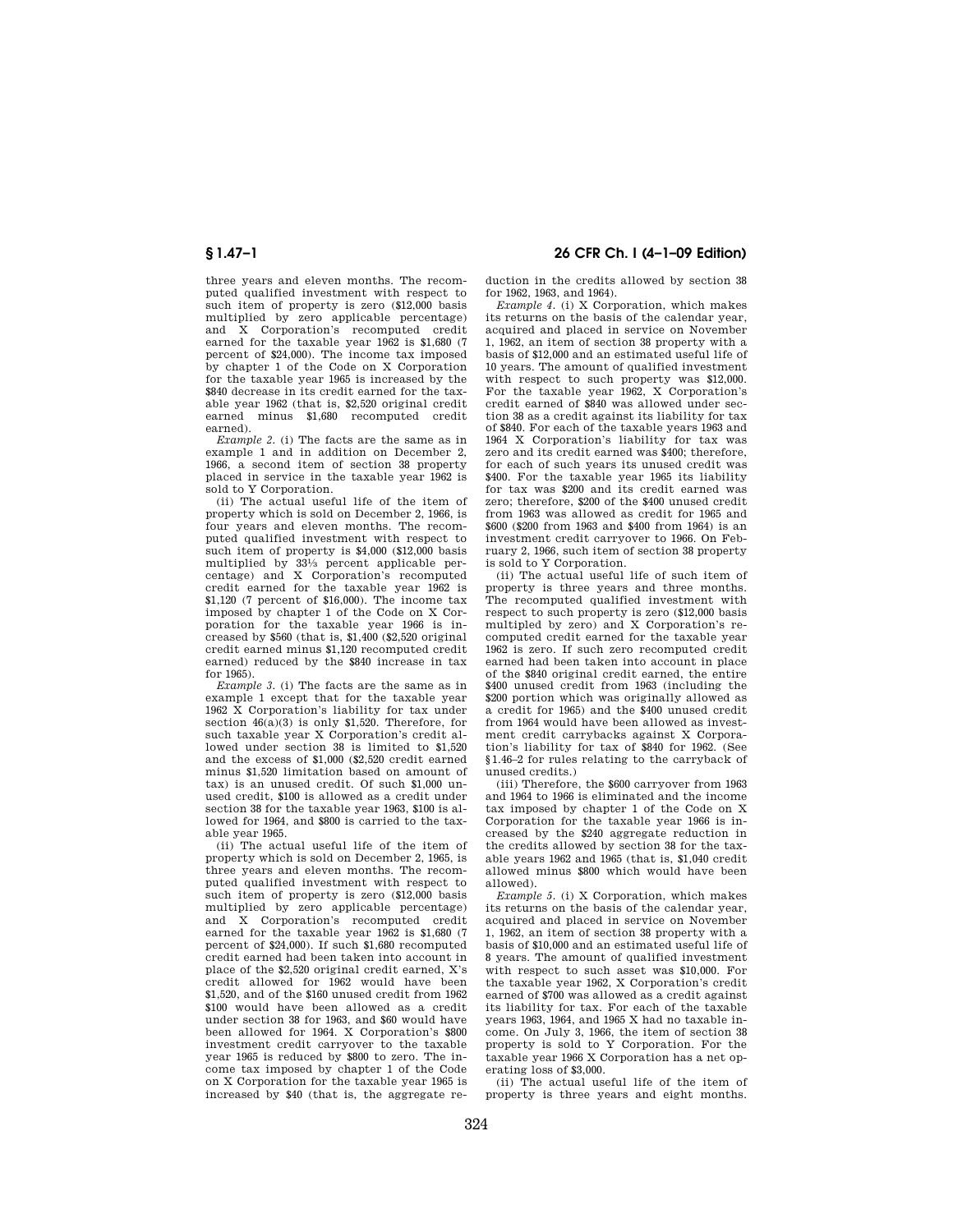three years and eleven months. The recomputed qualified investment with respect to such item of property is zero (\$12,000 basis multiplied by zero applicable percentage) and X Corporation's recomputed credit earned for the taxable year 1962 is \$1,680 (7 percent of \$24,000). The income tax imposed by chapter 1 of the Code on X Corporation for the taxable year 1965 is increased by the \$840 decrease in its credit earned for the taxable year 1962 (that is, \$2,520 original credit earned minus \$1,680 recomputed credit earned).

*Example 2.* (i) The facts are the same as in example 1 and in addition on December 2, 1966, a second item of section 38 property placed in service in the taxable year 1962 is sold to Y Corporation.

(ii) The actual useful life of the item of property which is sold on December 2, 1966, is four years and eleven months. The recomputed qualified investment with respect to such item of property is \$4,000 (\$12,000 basis multiplied by 331⁄3 percent applicable percentage) and X Corporation's recomputed credit earned for the taxable year 1962 is \$1,120 (7 percent of \$16,000). The income tax imposed by chapter 1 of the Code on X Corporation for the taxable year 1966 is increased by  $$560$  (that is,  $$1,400$   $$2,520$  original credit earned minus \$1,120 recomputed credit earned) reduced by the \$840 increase in tax for 1965).

*Example 3.* (i) The facts are the same as in example 1 except that for the taxable year 1962 X Corporation's liability for tax under section 46(a)(3) is only \$1,520. Therefore, for such taxable year X Corporation's credit allowed under section 38 is limited to \$1,520 and the excess of \$1,000 (\$2,520 credit earned minus \$1,520 limitation based on amount of tax) is an unused credit. Of such \$1,000 unused credit, \$100 is allowed as a credit under section 38 for the taxable year 1963, \$100 is allowed for 1964, and \$800 is carried to the taxable year 1965.

(ii) The actual useful life of the item of property which is sold on December 2, 1965, is three years and eleven months. The recomputed qualified investment with respect to such item of property is zero (\$12,000 basis multiplied by zero applicable percentage) and X Corporation's recomputed credit earned for the taxable year 1962 is \$1,680 (7 percent of \$24,000). If such \$1,680 recomputed credit earned had been taken into account in place of the \$2,520 original credit earned, X's credit allowed for 1962 would have been \$1,520, and of the \$160 unused credit from 1962 \$100 would have been allowed as a credit under section 38 for 1963, and \$60 would have been allowed for 1964. X Corporation's \$800 investment credit carryover to the taxable year 1965 is reduced by \$800 to zero. The income tax imposed by chapter 1 of the Code on X Corporation for the taxable year 1965 is increased by \$40 (that is, the aggregate re-

**§ 1.47–1 26 CFR Ch. I (4–1–09 Edition)** 

duction in the credits allowed by section 38 for 1962, 1963, and 1964).

*Example 4.* (i) X Corporation, which makes its returns on the basis of the calendar year, acquired and placed in service on November 1, 1962, an item of section 38 property with a basis of \$12,000 and an estimated useful life of 10 years. The amount of qualified investment with respect to such property was \$12,000. For the taxable year 1962, X Corporation's credit earned of \$840 was allowed under section 38 as a credit against its liability for tax of \$840. For each of the taxable years 1963 and 1964 X Corporation's liability for tax was zero and its credit earned was \$400; therefore, for each of such years its unused credit was \$400. For the taxable year 1965 its liability for tax was \$200 and its credit earned was zero; therefore, \$200 of the \$400 unused credit from 1963 was allowed as credit for 1965 and \$600 (\$200 from 1963 and \$400 from 1964) is an investment credit carryover to 1966. On February 2, 1966, such item of section 38 property is sold to Y Corporation.

(ii) The actual useful life of such item of property is three years and three months. The recomputed qualified investment with respect to such property is zero (\$12,000 basis multipled by zero) and X Corporation's recomputed credit earned for the taxable year 1962 is zero. If such zero recomputed credit earned had been taken into account in place of the \$840 original credit earned, the entire \$400 unused credit from 1963 (including the \$200 portion which was originally allowed as a credit for 1965) and the \$400 unused credit from 1964 would have been allowed as investment credit carrybacks against X Corporation's liability for tax of \$840 for 1962. (See §1.46–2 for rules relating to the carryback of unused credits.)

(iii) Therefore, the \$600 carryover from 1963 and 1964 to 1966 is eliminated and the income tax imposed by chapter 1 of the Code on X Corporation for the taxable year 1966 is increased by the \$240 aggregate reduction in the credits allowed by section 38 for the taxable years 1962 and 1965 (that is, \$1,040 credit allowed minus \$800 which would have been allowed).

*Example 5.* (i) X Corporation, which makes its returns on the basis of the calendar year, acquired and placed in service on November 1, 1962, an item of section 38 property with a basis of \$10,000 and an estimated useful life of 8 years. The amount of qualified investment with respect to such asset was \$10,000. For the taxable year 1962, X Corporation's credit earned of \$700 was allowed as a credit against its liability for tax. For each of the taxable years 1963, 1964, and 1965 X had no taxable income. On July 3, 1966, the item of section 38 property is sold to Y Corporation. For the taxable year 1966 X Corporation has a net operating loss of \$3,000.

(ii) The actual useful life of the item of property is three years and eight months.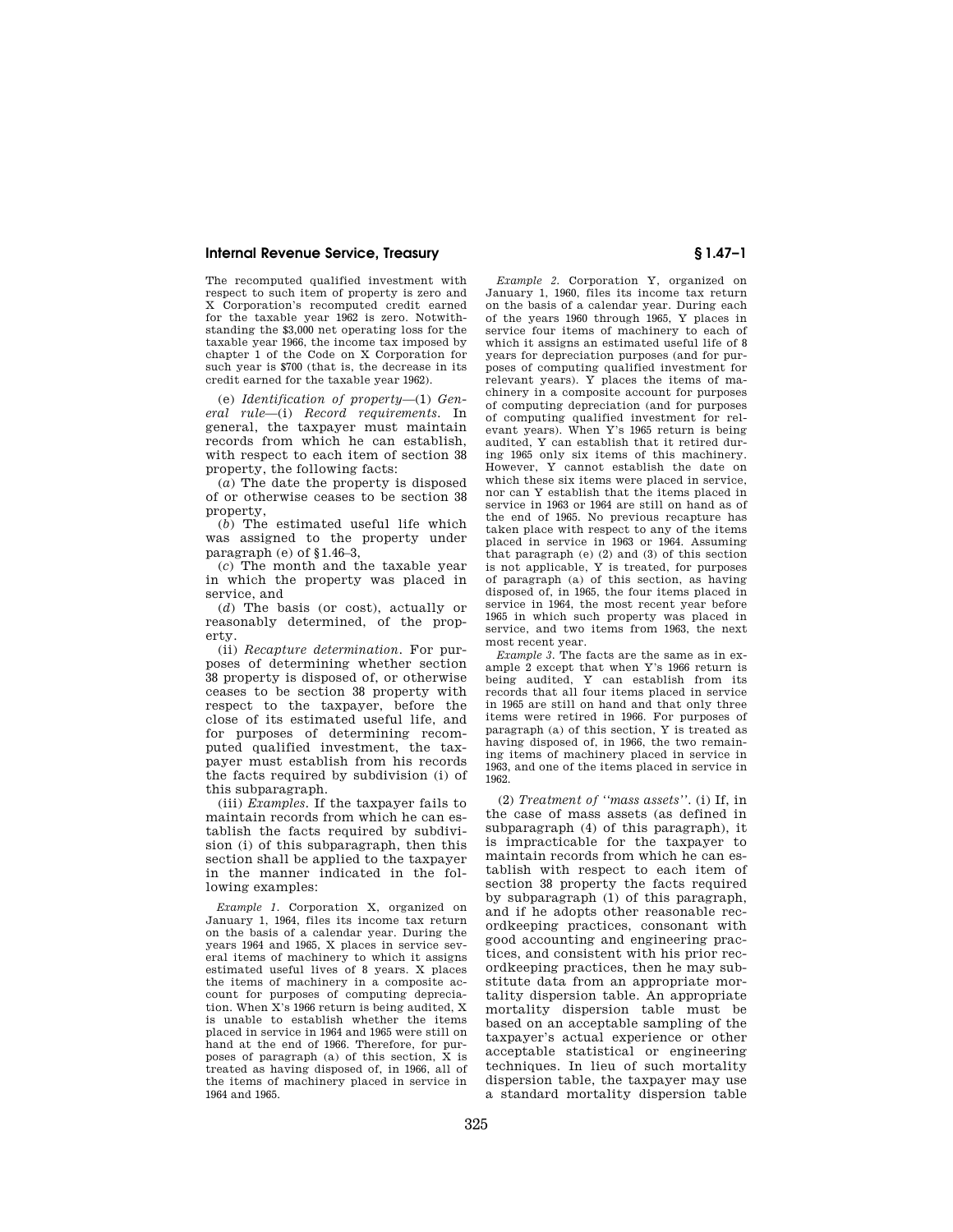The recomputed qualified investment with respect to such item of property is zero and X Corporation's recomputed credit earned for the taxable year 1962 is zero. Notwithstanding the \$3,000 net operating loss for the taxable year 1966, the income tax imposed by chapter 1 of the Code on X Corporation for such year is \$700 (that is, the decrease in its credit earned for the taxable year 1962).

(e) *Identification of property*—(1) *General rule*—(i) *Record requirements.* In general, the taxpayer must maintain records from which he can establish, with respect to each item of section 38 property, the following facts:

(*a*) The date the property is disposed of or otherwise ceases to be section 38 property,

(*b*) The estimated useful life which was assigned to the property under paragraph (e) of §1.46–3,

(*c*) The month and the taxable year in which the property was placed in service, and

(*d*) The basis (or cost), actually or reasonably determined, of the property.

(ii) *Recapture determination.* For purposes of determining whether section 38 property is disposed of, or otherwise ceases to be section 38 property with respect to the taxpayer, before the close of its estimated useful life, and for purposes of determining recomputed qualified investment, the taxpayer must establish from his records the facts required by subdivision (i) of this subparagraph.

(iii) *Examples.* If the taxpayer fails to maintain records from which he can establish the facts required by subdivision (i) of this subparagraph, then this section shall be applied to the taxpayer in the manner indicated in the following examples:

*Example 1.* Corporation X, organized on January 1, 1964, files its income tax return on the basis of a calendar year. During the years 1964 and 1965, X places in service several items of machinery to which it assigns estimated useful lives of 8 years. X places the items of machinery in a composite account for purposes of computing depreciation. When X's 1966 return is being audited, X is unable to establish whether the items placed in service in 1964 and 1965 were still on hand at the end of 1966. Therefore, for purposes of paragraph (a) of this section, X is treated as having disposed of, in 1966, all of the items of machinery placed in service in 1964 and 1965.

*Example 2.* Corporation Y, organized on January 1, 1960, files its income tax return on the basis of a calendar year. During each of the years 1960 through 1965, Y places in service four items of machinery to each of which it assigns an estimated useful life of 8 years for depreciation purposes (and for purposes of computing qualified investment for relevant years). Y places the items of machinery in a composite account for purposes of computing depreciation (and for purposes of computing qualified investment for relevant years). When Y's 1965 return is being audited, Y can establish that it retired during 1965 only six items of this machinery. However, Y cannot establish the date on which these six items were placed in service, nor can Y establish that the items placed in service in 1963 or 1964 are still on hand as of the end of 1965. No previous recapture has taken place with respect to any of the items placed in service in 1963 or 1964. Assuming that paragraph (e) (2) and (3) of this section is not applicable, Y is treated, for purposes of paragraph (a) of this section, as having disposed of, in 1965, the four items placed in service in 1964, the most recent year before 1965 in which such property was placed in service, and two items from 1963, the next most recent year.

*Example 3.* The facts are the same as in example 2 except that when Y's 1966 return is being audited, Y can establish from its records that all four items placed in service in 1965 are still on hand and that only three items were retired in 1966. For purposes of paragraph (a) of this section, Y is treated as having disposed of, in 1966, the two remaining items of machinery placed in service in 1963, and one of the items placed in service in 1962.

(2) *Treatment of ''mass assets''.* (i) If, in the case of mass assets (as defined in subparagraph (4) of this paragraph), it is impracticable for the taxpayer to maintain records from which he can establish with respect to each item of section 38 property the facts required by subparagraph (1) of this paragraph, and if he adopts other reasonable recordkeeping practices, consonant with good accounting and engineering practices, and consistent with his prior recordkeeping practices, then he may substitute data from an appropriate mortality dispersion table. An appropriate mortality dispersion table must be based on an acceptable sampling of the taxpayer's actual experience or other acceptable statistical or engineering techniques. In lieu of such mortality dispersion table, the taxpayer may use a standard mortality dispersion table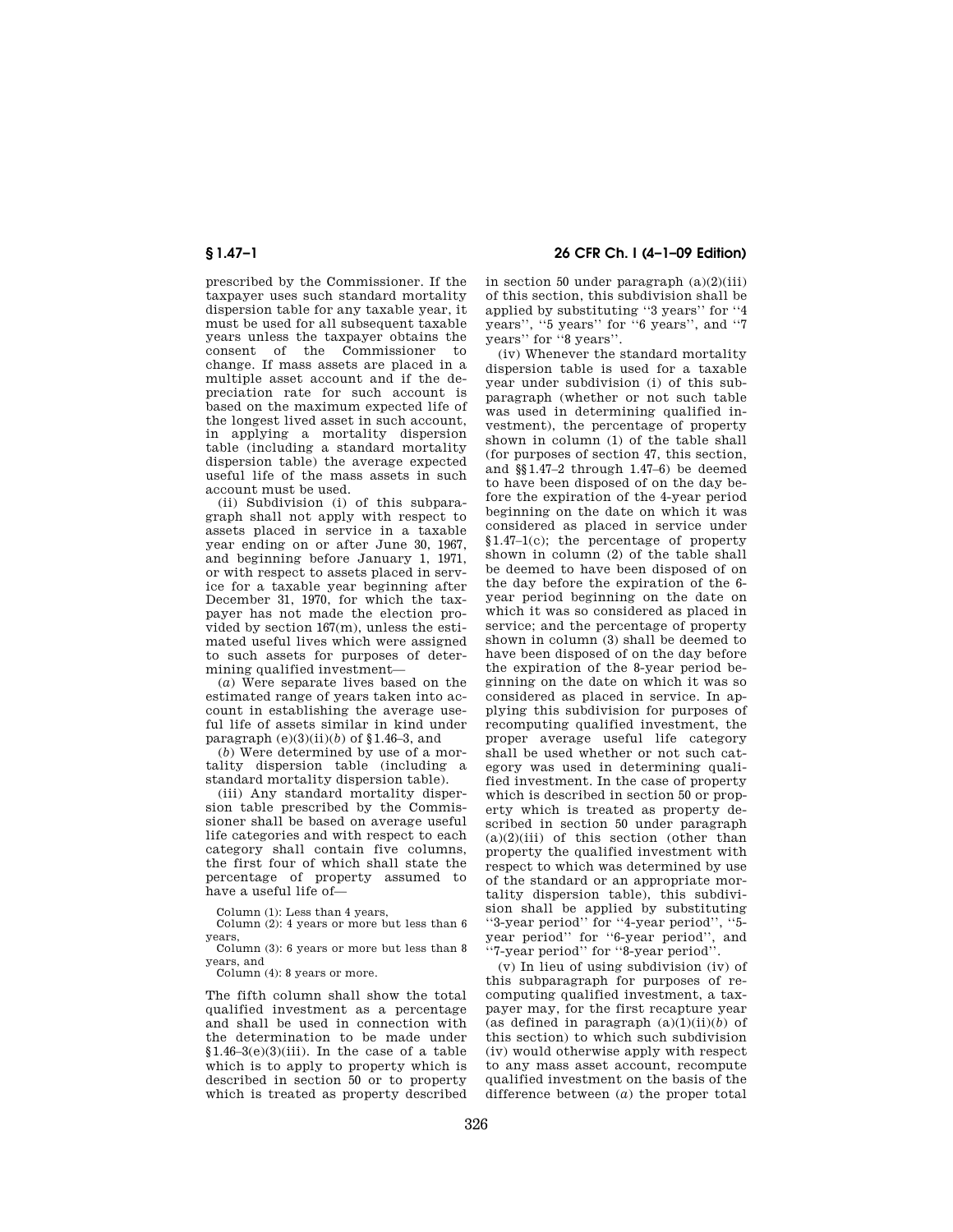prescribed by the Commissioner. If the taxpayer uses such standard mortality dispersion table for any taxable year, it must be used for all subsequent taxable years unless the taxpayer obtains the consent of the Commissioner to change. If mass assets are placed in a multiple asset account and if the depreciation rate for such account is based on the maximum expected life of the longest lived asset in such account, in applying a mortality dispersion table (including a standard mortality dispersion table) the average expected useful life of the mass assets in such account must be used.

(ii) Subdivision (i) of this subparagraph shall not apply with respect to assets placed in service in a taxable year ending on or after June 30, 1967, and beginning before January 1, 1971, or with respect to assets placed in service for a taxable year beginning after December 31, 1970, for which the taxpayer has not made the election provided by section 167(m), unless the estimated useful lives which were assigned to such assets for purposes of determining qualified investment—

(*a*) Were separate lives based on the estimated range of years taken into account in establishing the average useful life of assets similar in kind under paragraph  $(e)(3)(ii)(b)$  of §1.46–3, and

(*b*) Were determined by use of a mortality dispersion table (including a standard mortality dispersion table).

(iii) Any standard mortality dispersion table prescribed by the Commissioner shall be based on average useful life categories and with respect to each category shall contain five columns, the first four of which shall state the percentage of property assumed to have a useful life of—

Column (1): Less than 4 years,

Column (2): 4 years or more but less than 6 years,

Column (3): 6 years or more but less than 8 years, and

Column (4): 8 years or more.

The fifth column shall show the total qualified investment as a percentage and shall be used in connection with the determination to be made under  $$1.46-3(e)(3)(iii)$ . In the case of a table which is to apply to property which is described in section 50 or to property which is treated as property described

**§ 1.47–1 26 CFR Ch. I (4–1–09 Edition)** 

in section 50 under paragraph (a)(2)(iii) of this section, this subdivision shall be applied by substituting ''3 years'' for ''4 years'', ''5 years'' for ''6 years'', and ''7 years'' for ''8 years''.

(iv) Whenever the standard mortality dispersion table is used for a taxable year under subdivision (i) of this subparagraph (whether or not such table was used in determining qualified investment), the percentage of property shown in column (1) of the table shall (for purposes of section 47, this section, and §§1.47–2 through 1.47–6) be deemed to have been disposed of on the day before the expiration of the 4-year period beginning on the date on which it was considered as placed in service under §1.47–1(c); the percentage of property shown in column (2) of the table shall be deemed to have been disposed of on the day before the expiration of the 6 year period beginning on the date on which it was so considered as placed in service; and the percentage of property shown in column (3) shall be deemed to have been disposed of on the day before the expiration of the 8-year period beginning on the date on which it was so considered as placed in service. In applying this subdivision for purposes of recomputing qualified investment, the proper average useful life category shall be used whether or not such category was used in determining qualified investment. In the case of property which is described in section 50 or property which is treated as property described in section 50 under paragraph  $(a)(2)(iii)$  of this section (other than property the qualified investment with respect to which was determined by use of the standard or an appropriate mortality dispersion table), this subdivision shall be applied by substituting "3-year period" for "4-year period", "5-<br>year period" for "6-year period", and<br>" year period" for "6-year period" ''7-year period'' for ''8-year period''.

(v) In lieu of using subdivision (iv) of this subparagraph for purposes of recomputing qualified investment, a taxpayer may, for the first recapture year (as defined in paragraph  $(a)(1)(ii)(b)$  of this section) to which such subdivision (iv) would otherwise apply with respect to any mass asset account, recompute qualified investment on the basis of the difference between (*a*) the proper total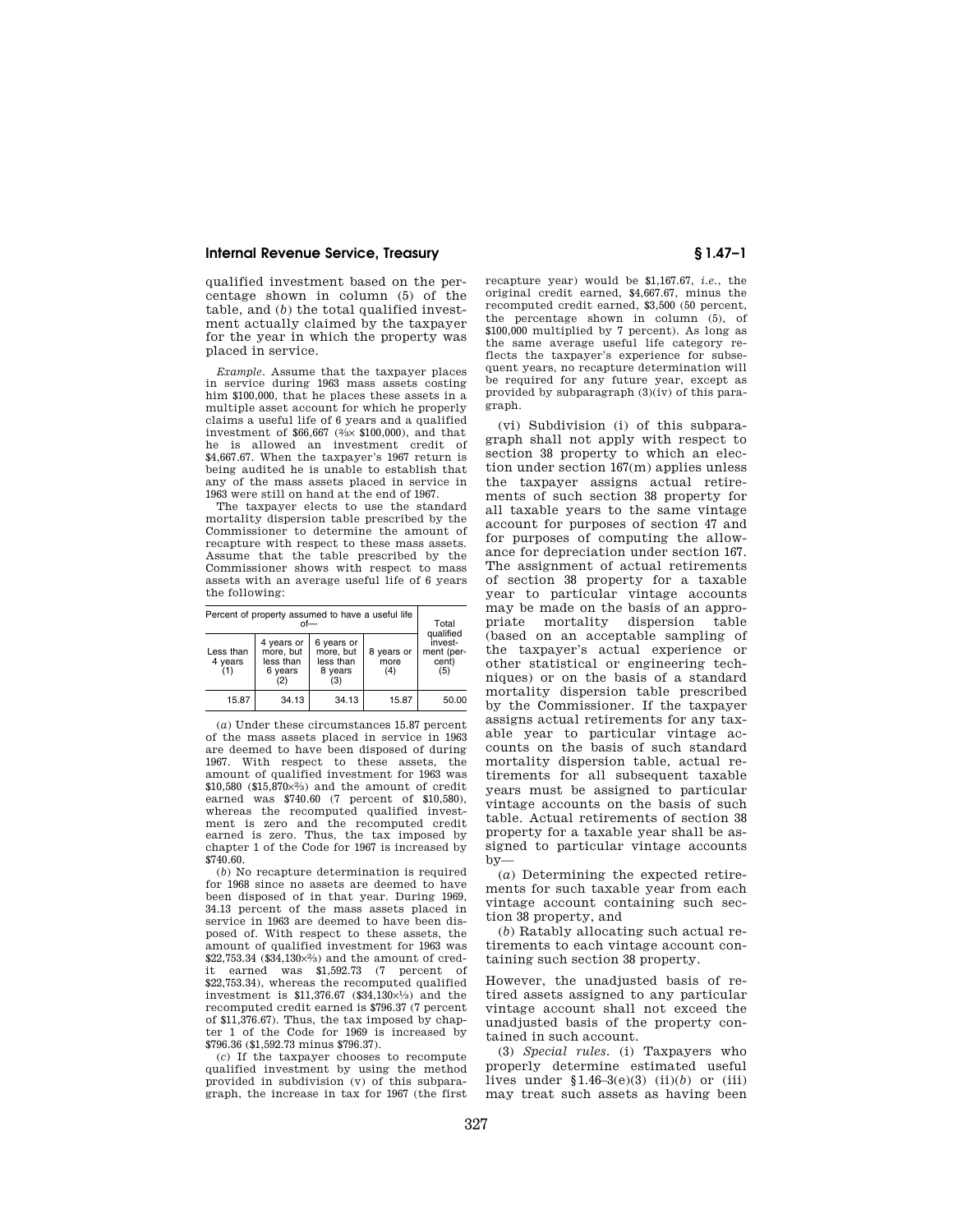qualified investment based on the percentage shown in column (5) of the table, and (*b*) the total qualified investment actually claimed by the taxpayer for the year in which the property was placed in service.

*Example.* Assume that the taxpayer places in service during 1963 mass assets costing him \$100,000, that he places these assets in a multiple asset account for which he properly claims a useful life of 6 years and a qualified investment of \$66,667 (2⁄3× \$100,000), and that he is allowed an investment credit of \$4,667.67. When the taxpayer's 1967 return is being audited he is unable to establish that any of the mass assets placed in service in 1963 were still on hand at the end of 1967.

The taxpayer elects to use the standard mortality dispersion table prescribed by the Commissioner to determine the amount of recapture with respect to these mass assets. Assume that the table prescribed by the Commissioner shows with respect to mass assets with an average useful life of 6 years the following:

| Percent of property assumed to have a useful life<br>∩f— |                                                        |                                                        |                           | Total                                              |
|----------------------------------------------------------|--------------------------------------------------------|--------------------------------------------------------|---------------------------|----------------------------------------------------|
| Less than<br>4 years<br>(1)                              | 4 years or<br>more, but<br>less than<br>6 years<br>(2) | 6 years or<br>more, but<br>less than<br>8 years<br>(3) | 8 years or<br>more<br>(4) | qualified<br>invest-<br>ment (per-<br>cent)<br>(5) |
| 15.87                                                    | 34.13                                                  | 34.13                                                  | 15.87                     | 50.00                                              |

(*a*) Under these circumstances 15.87 percent of the mass assets placed in service in 1963 are deemed to have been disposed of during 1967. With respect to these assets, the amount of qualified investment for 1963 was  $$10,580$  ( $$15,870\times2%$ ) and the amount of credit earned was \$740.60 (7 percent of \$10,580), whereas the recomputed qualified investment is zero and the recomputed credit earned is zero. Thus, the tax imposed by chapter 1 of the Code for 1967 is increased by \$740.60.

(*b*) No recapture determination is required for 1968 since no assets are deemed to have been disposed of in that year. During 1969, 34.13 percent of the mass assets placed in service in 1963 are deemed to have been disposed of. With respect to these assets, the amount of qualified investment for 1963 was \$22,753.34 (\$34,130×2⁄3) and the amount of credit earned was \$1,592.73 (7 percent of \$22,753.34), whereas the recomputed qualified investment is  $$11,376.67$   $($34,130\times\frac{1}{3})$  and the recomputed credit earned is \$796.37 (7 percent of \$11,376.67). Thus, the tax imposed by chapter 1 of the Code for 1969 is increased by \$796.36 (\$1,592.73 minus \$796.37).

(*c*) If the taxpayer chooses to recompute qualified investment by using the method provided in subdivision (v) of this subparagraph, the increase in tax for 1967 (the first recapture year) would be \$1,167.67, *i.e.*, the original credit earned, \$4,667.67, minus the recomputed credit earned, \$3,500 (50 percent, the percentage shown in column (5), of \$100,000 multiplied by 7 percent). As long as the same average useful life category reflects the taxpayer's experience for subsequent years, no recapture determination will be required for any future year, except as provided by subparagraph (3)(iv) of this paragraph.

(vi) Subdivision (i) of this subparagraph shall not apply with respect to section 38 property to which an election under section 167(m) applies unless the taxpayer assigns actual retirements of such section 38 property for all taxable years to the same vintage account for purposes of section 47 and for purposes of computing the allowance for depreciation under section 167. The assignment of actual retirements of section 38 property for a taxable year to particular vintage accounts may be made on the basis of an appropriate mortality dispersion table (based on an acceptable sampling of the taxpayer's actual experience or other statistical or engineering techniques) or on the basis of a standard mortality dispersion table prescribed by the Commissioner. If the taxpayer assigns actual retirements for any taxable year to particular vintage accounts on the basis of such standard mortality dispersion table, actual retirements for all subsequent taxable years must be assigned to particular vintage accounts on the basis of such table. Actual retirements of section 38 property for a taxable year shall be assigned to particular vintage accounts  $hv$ —

(*a*) Determining the expected retirements for such taxable year from each vintage account containing such section 38 property, and

(*b*) Ratably allocating such actual retirements to each vintage account containing such section 38 property.

However, the unadjusted basis of retired assets assigned to any particular vintage account shall not exceed the unadjusted basis of the property contained in such account.

(3) *Special rules.* (i) Taxpayers who properly determine estimated useful lives under  $$1.46-3(e)(3)$  (ii)(*b*) or (iii) may treat such assets as having been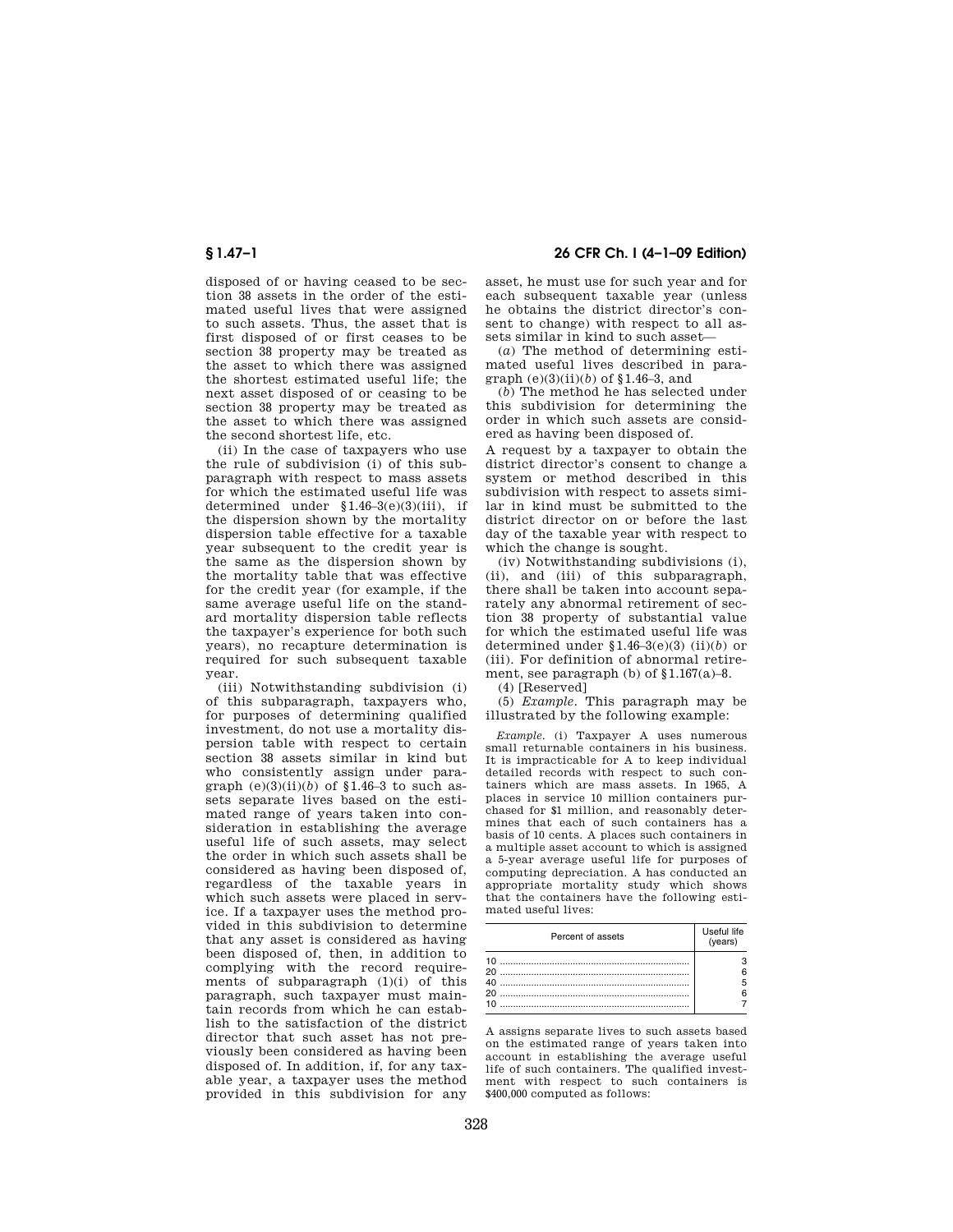# **§ 1.47–1 26 CFR Ch. I (4–1–09 Edition)**

disposed of or having ceased to be section 38 assets in the order of the estimated useful lives that were assigned to such assets. Thus, the asset that is first disposed of or first ceases to be section 38 property may be treated as the asset to which there was assigned the shortest estimated useful life; the next asset disposed of or ceasing to be section 38 property may be treated as the asset to which there was assigned the second shortest life, etc.

(ii) In the case of taxpayers who use the rule of subdivision (i) of this subparagraph with respect to mass assets for which the estimated useful life was determined under §1.46–3(e)(3)(iii), if the dispersion shown by the mortality dispersion table effective for a taxable year subsequent to the credit year is the same as the dispersion shown by the mortality table that was effective for the credit year (for example, if the same average useful life on the standard mortality dispersion table reflects the taxpayer's experience for both such years), no recapture determination is required for such subsequent taxable year.

(iii) Notwithstanding subdivision (i) of this subparagraph, taxpayers who, for purposes of determining qualified investment, do not use a mortality dispersion table with respect to certain section 38 assets similar in kind but who consistently assign under paragraph  $(e)(3)(ii)(b)$  of  $\{1.46-3$  to such assets separate lives based on the estimated range of years taken into consideration in establishing the average useful life of such assets, may select the order in which such assets shall be considered as having been disposed of, regardless of the taxable years in which such assets were placed in service. If a taxpayer uses the method provided in this subdivision to determine that any asset is considered as having been disposed of, then, in addition to complying with the record requirements of subparagraph  $(1)(i)$  of this paragraph, such taxpayer must maintain records from which he can establish to the satisfaction of the district director that such asset has not previously been considered as having been disposed of. In addition, if, for any taxable year, a taxpayer uses the method provided in this subdivision for any

asset, he must use for such year and for each subsequent taxable year (unless he obtains the district director's consent to change) with respect to all assets similar in kind to such asset—

(*a*) The method of determining estimated useful lives described in paragraph  $(e)(3)(ii)(b)$  of §1.46–3, and

(*b*) The method he has selected under this subdivision for determining the order in which such assets are considered as having been disposed of.

A request by a taxpayer to obtain the district director's consent to change a system or method described in this subdivision with respect to assets similar in kind must be submitted to the district director on or before the last day of the taxable year with respect to which the change is sought.

(iv) Notwithstanding subdivisions (i), (ii), and (iii) of this subparagraph, there shall be taken into account separately any abnormal retirement of section 38 property of substantial value for which the estimated useful life was determined under §1.46–3(e)(3) (ii)(*b*) or (iii). For definition of abnormal retirement, see paragraph (b) of  $$1.167(a)-8$ .

(4) [Reserved]

(5) *Example.* This paragraph may be illustrated by the following example:

*Example.* (i) Taxpayer A uses numerous small returnable containers in his business. It is impracticable for A to keep individual detailed records with respect to such containers which are mass assets. In 1965, A places in service 10 million containers purchased for \$1 million, and reasonably determines that each of such containers has a basis of 10 cents. A places such containers in a multiple asset account to which is assigned a 5-year average useful life for purposes of computing depreciation. A has conducted an appropriate mortality study which shows that the containers have the following estimated useful lives:

| Percent of assets          | Useful life<br>(years) |
|----------------------------|------------------------|
| 10<br>ጋበ<br>40<br>20<br>10 |                        |

A assigns separate lives to such assets based on the estimated range of years taken into account in establishing the average useful life of such containers. The qualified investment with respect to such containers is \$400,000 computed as follows: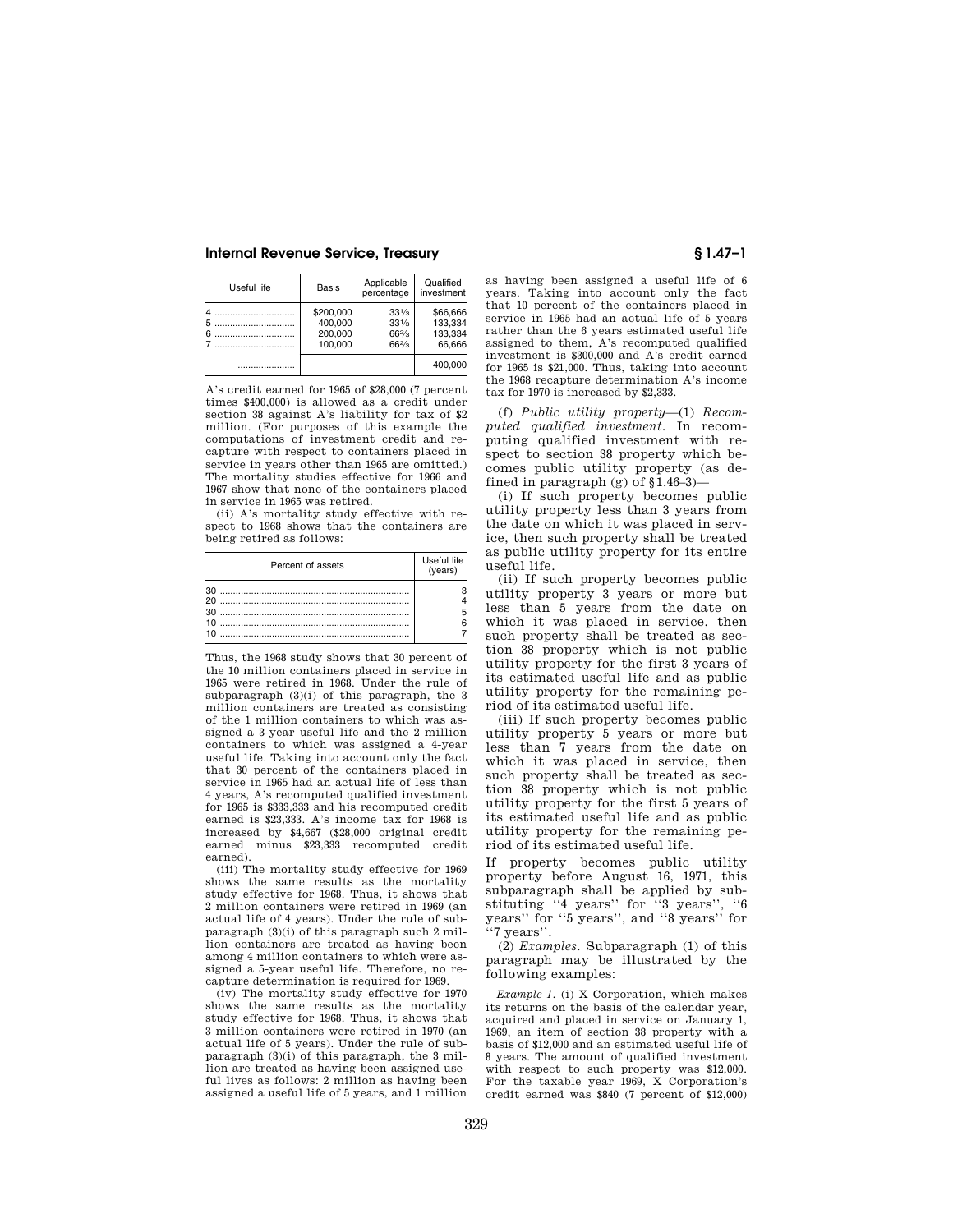| Useful life | <b>Basis</b>                               | Applicable<br>percentage                         | Qualified<br>investment                  |
|-------------|--------------------------------------------|--------------------------------------------------|------------------------------------------|
| .<br>5<br>6 | \$200,000<br>400.000<br>200.000<br>100.000 | $33\frac{1}{3}$<br>$33\frac{1}{3}$<br>66%<br>66% | \$66,666<br>133.334<br>133.334<br>66.666 |
|             |                                            |                                                  | 400.000                                  |

A's credit earned for 1965 of \$28,000 (7 percent times \$400,000) is allowed as a credit under section 38 against A's liability for tax of \$2 million. (For purposes of this example the computations of investment credit and recapture with respect to containers placed in service in years other than 1965 are omitted.) The mortality studies effective for 1966 and 1967 show that none of the containers placed in service in 1965 was retired.

(ii) A's mortality study effective with respect to 1968 shows that the containers are being retired as follows:

| Percent of assets | Useful life<br>(vears) |
|-------------------|------------------------|
|                   |                        |
|                   |                        |
|                   |                        |
|                   |                        |

Thus, the 1968 study shows that 30 percent of the 10 million containers placed in service in 1965 were retired in 1968. Under the rule of subparagraph (3)(i) of this paragraph, the 3 million containers are treated as consisting of the 1 million containers to which was assigned a 3-year useful life and the 2 million containers to which was assigned a 4-year useful life. Taking into account only the fact that 30 percent of the containers placed in service in 1965 had an actual life of less than 4 years, A's recomputed qualified investment for 1965 is \$333,333 and his recomputed credit earned is \$23,333. A's income tax for 1968 is increased by \$4,667 (\$28,000 original credit earned minus \$23,333 recomputed credit earned).

(iii) The mortality study effective for 1969 shows the same results as the mortality study effective for 1968. Thus, it shows that 2 million containers were retired in 1969 (an actual life of 4 years). Under the rule of subparagraph (3)(i) of this paragraph such 2 million containers are treated as having been among 4 million containers to which were assigned a 5-year useful life. Therefore, no recapture determination is required for 1969.

(iv) The mortality study effective for 1970 shows the same results as the mortality study effective for 1968. Thus, it shows that 3 million containers were retired in 1970 (an actual life of 5 years). Under the rule of subparagraph (3)(i) of this paragraph, the 3 million are treated as having been assigned useful lives as follows: 2 million as having been assigned a useful life of 5 years, and 1 million

as having been assigned a useful life of 6 years. Taking into account only the fact that 10 percent of the containers placed in service in 1965 had an actual life of 5 years rather than the 6 years estimated useful life assigned to them, A's recomputed qualified investment is \$300,000 and A's credit earned for 1965 is \$21,000. Thus, taking into account the 1968 recapture determination A's income tax for 1970 is increased by \$2,333.

(f) *Public utility property*—(1) *Recomputed qualified investment.* In recomputing qualified investment with respect to section 38 property which becomes public utility property (as defined in paragraph  $(g)$  of  $$1.46-3$ )

(i) If such property becomes public utility property less than 3 years from the date on which it was placed in service, then such property shall be treated as public utility property for its entire useful life.

(ii) If such property becomes public utility property 3 years or more but less than 5 years from the date on which it was placed in service, then such property shall be treated as section 38 property which is not public utility property for the first 3 years of its estimated useful life and as public utility property for the remaining period of its estimated useful life.

(iii) If such property becomes public utility property 5 years or more but less than 7 years from the date on which it was placed in service, then such property shall be treated as section 38 property which is not public utility property for the first 5 years of its estimated useful life and as public utility property for the remaining period of its estimated useful life.

If property becomes public utility property before August 16, 1971, this subparagraph shall be applied by substituting ''4 years'' for ''3 years'', ''6 years'' for ''5 years'', and ''8 years'' for ''7 years''.

(2) *Examples.* Subparagraph (1) of this paragraph may be illustrated by the following examples:

*Example 1.* (i) X Corporation, which makes its returns on the basis of the calendar year, acquired and placed in service on January 1, 1969, an item of section 38 property with a basis of \$12,000 and an estimated useful life of 8 years. The amount of qualified investment with respect to such property was \$12,000. For the taxable year 1969, X Corporation's credit earned was \$840 (7 percent of \$12,000)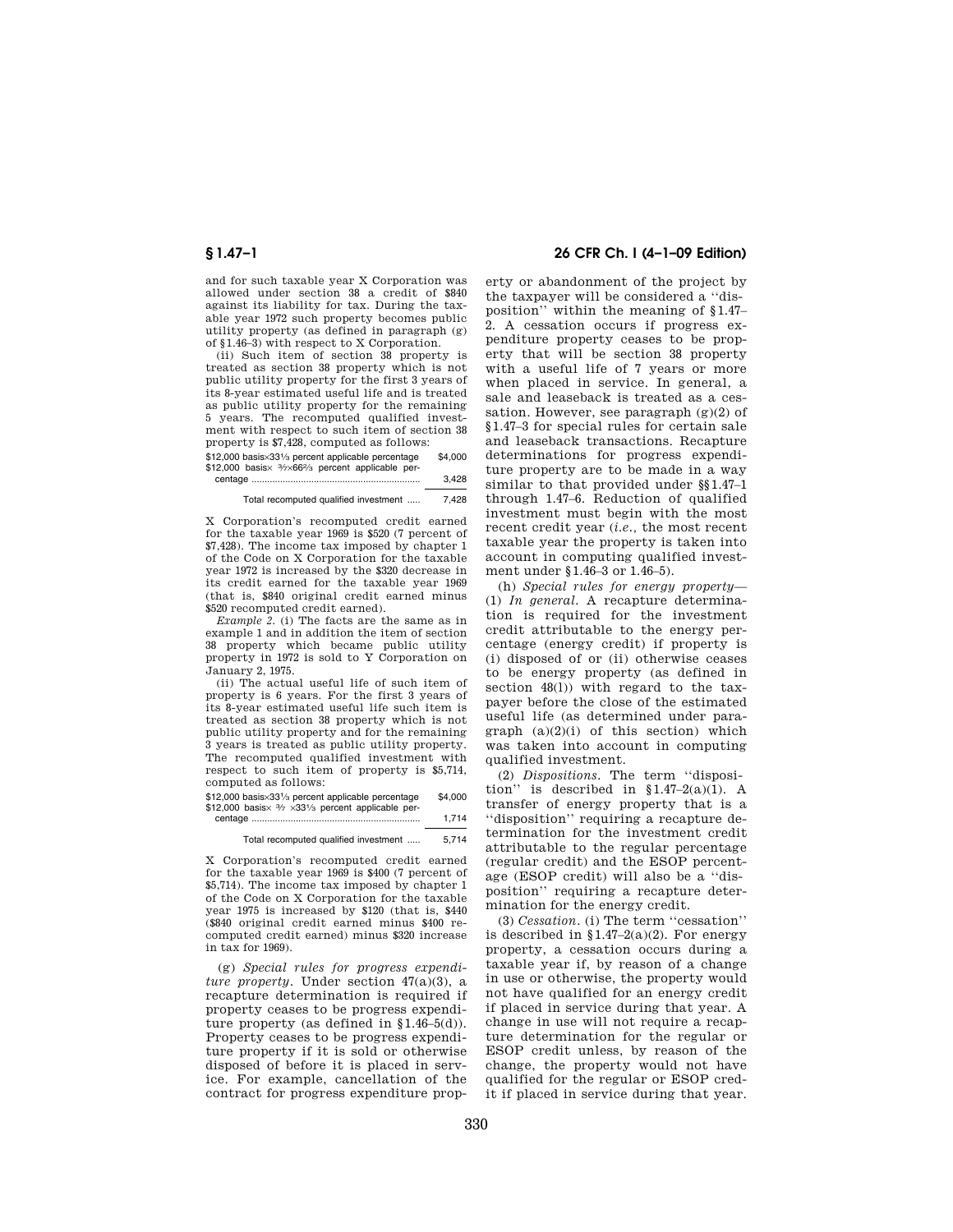and for such taxable year X Corporation was allowed under section 38 a credit of \$840 against its liability for tax. During the taxable year 1972 such property becomes public utility property (as defined in paragraph (g) of §1.46–3) with respect to X Corporation.

(ii) Such item of section 38 property is treated as section 38 property which is not public utility property for the first 3 years of its 8-year estimated useful life and is treated as public utility property for the remaining 5 years. The recomputed qualified investment with respect to such item of section 38 property is \$7,428, computed as follows:

| \$12,000 basis×331/3 percent applicable percentage                                              | \$4,000 |
|-------------------------------------------------------------------------------------------------|---------|
| \$12,000 basis $\times$ 3/ <sub>7</sub> ×66 <sup>2</sup> / <sub>3</sub> percent applicable per- |         |
|                                                                                                 | 3.428   |

Total recomputed qualified investment ..... 7,428

X Corporation's recomputed credit earned for the taxable year 1969 is \$520 (7 percent of \$7,428). The income tax imposed by chapter 1 of the Code on X Corporation for the taxable year 1972 is increased by the \$320 decrease in its credit earned for the taxable year 1969 (that is, \$840 original credit earned minus \$520 recomputed credit earned).

*Example 2.* (i) The facts are the same as in example 1 and in addition the item of section 38 property which became public utility property in 1972 is sold to Y Corporation on January 2, 1975.

(ii) The actual useful life of such item of property is 6 years. For the first 3 years of its 8-year estimated useful life such item is treated as section 38 property which is not public utility property and for the remaining 3 years is treated as public utility property. The recomputed qualified investment with respect to such item of property is \$5,714, computed as follows:

\$12,000 basis×331⁄3 percent applicable percentage \$4,000 \$12,000 basis $\times$  3/2  $\times$ 331/3 percent applicable percentage ................................................................. 1,714

Total recomputed qualified investment ..... 5,714

X Corporation's recomputed credit earned for the taxable year 1969 is \$400 (7 percent of \$5,714). The income tax imposed by chapter 1 of the Code on X Corporation for the taxable year 1975 is increased by \$120 (that is, \$440 (\$840 original credit earned minus \$400 recomputed credit earned) minus \$320 increase in tax for 1969).

(g) *Special rules for progress expenditure property.* Under section 47(a)(3), a recapture determination is required if property ceases to be progress expenditure property (as defined in §1.46–5(d)). Property ceases to be progress expenditure property if it is sold or otherwise disposed of before it is placed in service. For example, cancellation of the contract for progress expenditure prop-

## **§ 1.47–1 26 CFR Ch. I (4–1–09 Edition)**

erty or abandonment of the project by the taxpayer will be considered a ''disposition'' within the meaning of §1.47– 2. A cessation occurs if progress expenditure property ceases to be property that will be section 38 property with a useful life of 7 years or more when placed in service. In general, a sale and leaseback is treated as a cessation. However, see paragraph (g)(2) of §1.47–3 for special rules for certain sale and leaseback transactions. Recapture determinations for progress expenditure property are to be made in a way similar to that provided under §§1.47–1 through 1.47–6. Reduction of qualified investment must begin with the most recent credit year (*i.e.,* the most recent taxable year the property is taken into account in computing qualified investment under §1.46–3 or 1.46–5).

(h) *Special rules for energy property*— (1) *In general.* A recapture determination is required for the investment credit attributable to the energy percentage (energy credit) if property is (i) disposed of or (ii) otherwise ceases to be energy property (as defined in section  $48(1)$ ) with regard to the taxpayer before the close of the estimated useful life (as determined under paragraph  $(a)(2)(i)$  of this section) which was taken into account in computing qualified investment.

(2) *Dispositions.* The term ''disposition'' is described in §1.47–2(a)(1). A transfer of energy property that is a ''disposition'' requiring a recapture determination for the investment credit attributable to the regular percentage (regular credit) and the ESOP percentage (ESOP credit) will also be a ''disposition'' requiring a recapture determination for the energy credit.

(3) *Cessation.* (i) The term ''cessation'' is described in  $$1.47-2(a)(2)$ . For energy property, a cessation occurs during a taxable year if, by reason of a change in use or otherwise, the property would not have qualified for an energy credit if placed in service during that year. A change in use will not require a recapture determination for the regular or ESOP credit unless, by reason of the change, the property would not have qualified for the regular or ESOP credit if placed in service during that year.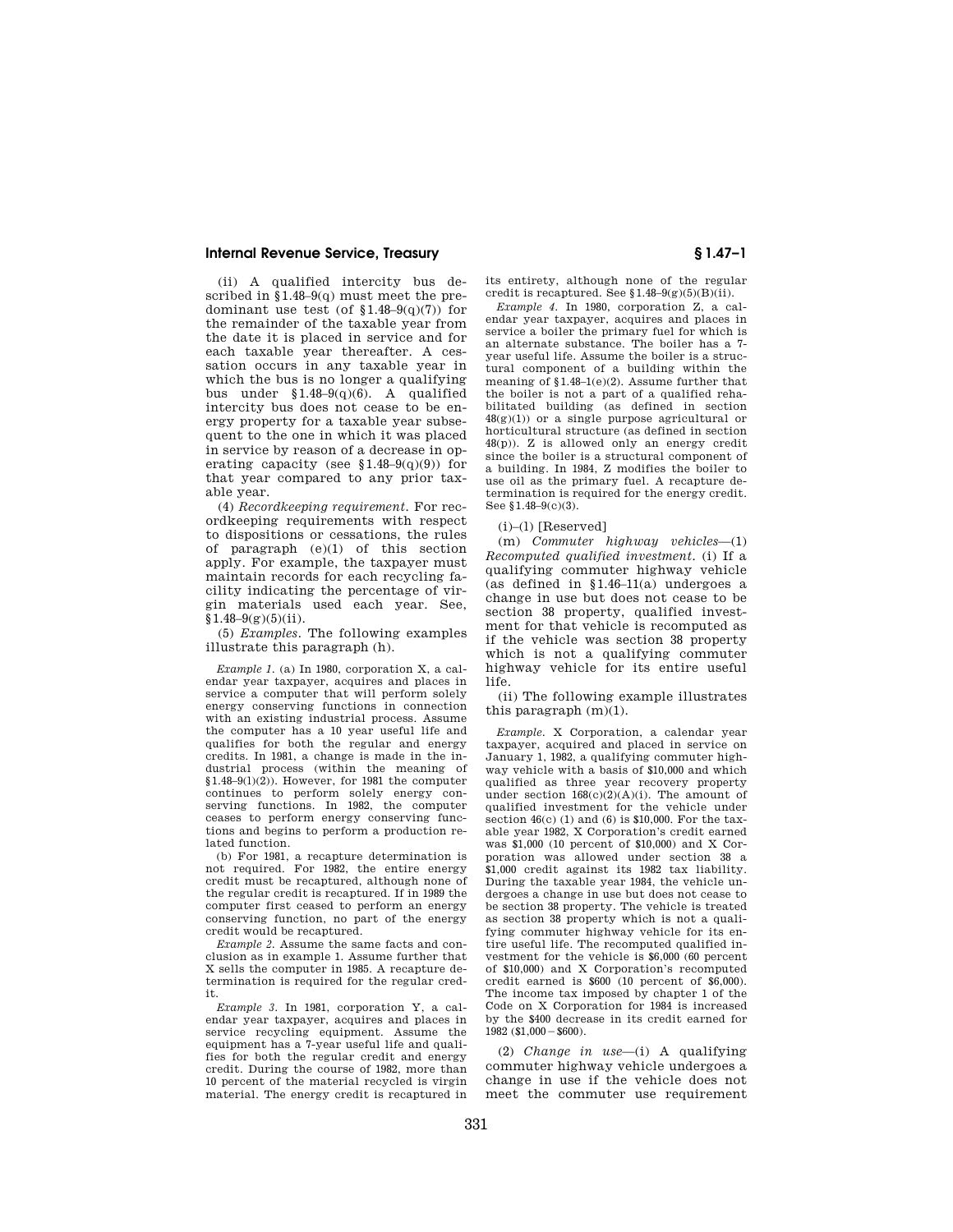(ii) A qualified intercity bus described in  $\S 1.48-9(q)$  must meet the predominant use test (of  $$1.48-9(q)(7)$ ) for the remainder of the taxable year from the date it is placed in service and for each taxable year thereafter. A cessation occurs in any taxable year in which the bus is no longer a qualifying bus under §1.48–9(q)(6). A qualified intercity bus does not cease to be energy property for a taxable year subsequent to the one in which it was placed in service by reason of a decrease in operating capacity (see  $$1.48-9(q)(9)$ ) for that year compared to any prior taxable year.

(4) *Recordkeeping requirement.* For recordkeeping requirements with respect to dispositions or cessations, the rules of paragraph (e)(1) of this section apply. For example, the taxpayer must maintain records for each recycling facility indicating the percentage of virgin materials used each year. See,  $$1.48-9(g)(5)(ii).$ 

(5) *Examples.* The following examples illustrate this paragraph (h).

*Example 1.* (a) In 1980, corporation X, a calendar year taxpayer, acquires and places in service a computer that will perform solely energy conserving functions in connection with an existing industrial process. Assume the computer has a 10 year useful life and qualifies for both the regular and energy credits. In 1981, a change is made in the industrial process (within the meaning of  $$1.48-9(1)(2)$ . However, for 1981 the computer continues to perform solely energy conserving functions. In 1982, the computer ceases to perform energy conserving functions and begins to perform a production related function.

(b) For 1981, a recapture determination is not required. For 1982, the entire energy credit must be recaptured, although none of the regular credit is recaptured. If in 1989 the computer first ceased to perform an energy conserving function, no part of the energy credit would be recaptured.

*Example 2.* Assume the same facts and conclusion as in example 1. Assume further that X sells the computer in 1985. A recapture determination is required for the regular credit.

*Example 3.* In 1981, corporation Y, a calendar year taxpayer, acquires and places in service recycling equipment. Assume the equipment has a 7-year useful life and qualifies for both the regular credit and energy credit. During the course of 1982, more than 10 percent of the material recycled is virgin material. The energy credit is recaptured in its entirety, although none of the regular credit is recaptured. See  $1.48-9(g)(5)(B)(ii)$ .

*Example 4.* In 1980, corporation Z, a calendar year taxpayer, acquires and places in service a boiler the primary fuel for which is an alternate substance. The boiler has a 7 year useful life. Assume the boiler is a structural component of a building within the meaning of §1.48–1(e)(2). Assume further that the boiler is not a part of a qualified rehabilitated building (as defined in section  $48(g)(1)$  or a single purpose agricultural or horticultural structure (as defined in section 48(p)). Z is allowed only an energy credit since the boiler is a structural component of a building. In 1984, Z modifies the boiler to use oil as the primary fuel. A recapture determination is required for the energy credit. See §1.48–9(c)(3).

 $(i)$ – $(l)$  [Reserved]

(m) *Commuter highway vehicles*—(1) *Recomputed qualified investment.* (i) If a qualifying commuter highway vehicle (as defined in §1.46–11(a) undergoes a change in use but does not cease to be section 38 property, qualified investment for that vehicle is recomputed as if the vehicle was section 38 property which is not a qualifying commuter highway vehicle for its entire useful life.

(ii) The following example illustrates this paragraph (m)(1).

*Example.* X Corporation, a calendar year taxpayer, acquired and placed in service on January 1, 1982, a qualifying commuter highway vehicle with a basis of \$10,000 and which qualified as three year recovery property under section 168(c)(2)(A)(i). The amount of qualified investment for the vehicle under section  $46(c)$  (1) and (6) is \$10,000. For the taxable year 1982, X Corporation's credit earned was \$1,000 (10 percent of \$10,000) and X Corporation was allowed under section 38 a \$1,000 credit against its 1982 tax liability. During the taxable year 1984, the vehicle undergoes a change in use but does not cease to be section 38 property. The vehicle is treated as section 38 property which is not a qualifying commuter highway vehicle for its entire useful life. The recomputed qualified investment for the vehicle is \$6,000 (60 percent of \$10,000) and X Corporation's recomputed credit earned is \$600 (10 percent of \$6,000). The income tax imposed by chapter 1 of the Code on X Corporation for 1984 is increased by the \$400 decrease in its credit earned for  $1982$  (\$1,000 - \$600).

(2) *Change in use*—(i) A qualifying commuter highway vehicle undergoes a change in use if the vehicle does not meet the commuter use requirement